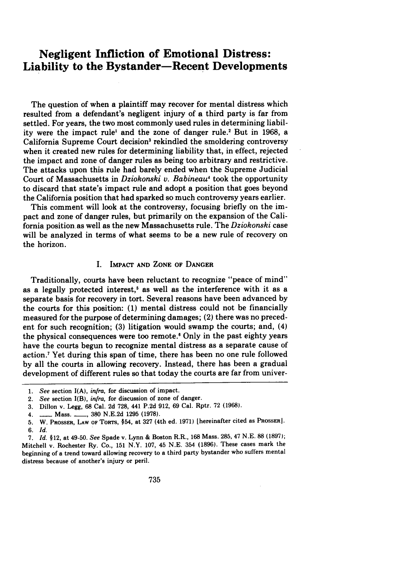# **Negligent Infliction of Emotional Distress: Liability to the Bystander-Recent Developments**

The question of when a plaintiff may recover for mental distress which resulted from a defendant's negligent injury of a third party is far from settled. For years, the two most commonly used rules in determining liability were the impact rule' and the zone of danger rule.2 But in **1968,** a California Supreme Court decision<sup>3</sup> rekindled the smoldering controversy when it created new rules for determining liability that, in effect, rejected the impact and zone of danger rules as being too arbitrary and restrictive. The attacks upon this rule had barely ended when the Supreme Judicial Court of Massachusetts in *Dziokonski v. Babineaul* took the opportunity to discard that state's impact rule and adopt a position that goes beyond the California position that had sparked so much controversy years earlier.

This comment will look at the controversy, focusing briefly on the impact and zone of danger rules, but primarily on the expansion of the California position as well as the new Massachusetts rule. The *Dziokonski* case will be analyzed in terms of what seems to be a new rule of recovery on the horizon.

## **I. IMPACT AND ZONE OF DANGER**

Traditionally, courts have been reluctant to recognize "peace of mind" as a legally protected interest,<sup>5</sup> as well as the interference with it as a separate basis for recovery in tort. Several reasons have been advanced **by** the courts for this position: **(1)** mental distress could not be financially measured for the purpose of determining damages; (2) there was no precedent for such recognition; **(3)** litigation would swamp the courts; and, (4) the physical consequences were too remote.<sup>6</sup> Only in the past eighty years have the courts begun to recognize mental distress as a separate cause of action.' Yet during this span of time, there has been no one rule followed **by** all the courts in allowing recovery. Instead, there has been a gradual development of different rules so that today the courts are far from univer-

**<sup>1.</sup>** *See* section **I(A),** *infra,* for discussion of impact.

<sup>2.</sup> *See* section I(B), *infra,* for discussion of zone of danger.

**<sup>3.</sup>** Dillon v. Legg, **68** Cal. **2d 728,** 441 **P.2d 912, 69** Cal. Rptr. **72 (1968).**

<sup>4.</sup> **-** Mass. **\_\_, 380 N.E.2d 1295 (1978).**

**<sup>5.</sup>** W. PROSSER, **LAW OF** ToRTs, §54, at **327** (4th ed. **1971)** [hereinafter cited as PROSSER]. **6.** *Id.*

**<sup>7.</sup>** *Id.* §12, at 49-50. *See* Spade v. Lynn **&** Boston R.R., **168** Mass. **285,** 47 **N.E. 88 (1897);** Mitchell v. Rochester Ry. Co., 151 N.Y. **107,** 45 **N.E.** 354 **(1896).** These cases mark the beginning of a trend toward allowing recovery to a third party bystander who suffers mental distress because of another's injury or peril.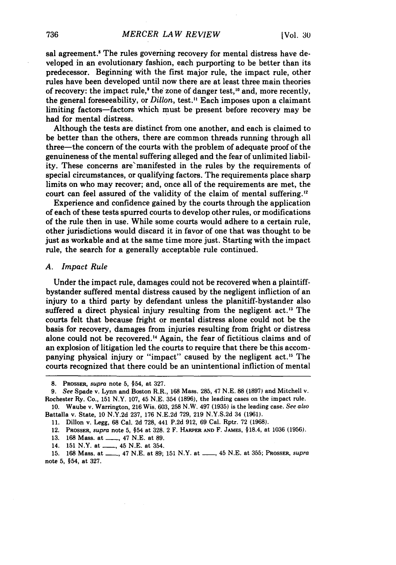sal agreement.<sup>8</sup> The rules governing recovery for mental distress have developed in an evolutionary fashion, each purporting to be better than its predecessor. Beginning with the first major rule, the impact rule, other rules have been developed until now there are at least three main theories of recovery: the impact rule,<sup>9</sup> the zone of danger test,<sup>10</sup> and, more recently, the general foreseeability, or *Dillon,* test." Each imposes upon a claimant limiting factors-factors which must be present before recovery may be had for mental distress.

Although the tests are distinct from one another, and each is claimed to be better than the others, there are common threads running through all three-the concern of the courts with the problem of adequate proof of the genuineness of the mental suffering alleged and the fear of unlimited liability. These concerns are'manifested in the rules by the requirements of special circumstances, or qualifying factors. The requirements place sharp limits on who may recover; and, once all of the requirements are met, the court can feel assured of the validity of the claim of mental suffering.'2

Experience and confidence gained by the courts through the application of each of these tests spurred courts to develop other rules, or modifications of the rule then in use. While some courts would adhere to a certain rule, other jurisdictions would discard it in favor of one that was thought to be just as workable and at the same time more just. Starting with the impact rule, the search for a generally acceptable rule continued.

#### *A. Impact Rule*

Under the impact rule, damages could not be recovered when a plaintiffbystander suffered mental distress caused by the negligent infliction of an injury to a third party by defendant unless the planitiff-bystander also suffered a direct physical injury resulting from the negligent act. " The courts felt that because fright or mental distress alone could not be the basis for recovery, damages from injuries resulting from fright or distress alone could not be recovered.<sup>14</sup> Again, the fear of fictitious claims and of an explosion of litigation led the courts to require that there be this accompanying physical injury or "impact" caused by the negligent act.'5 The courts recognized that there could be an unintentional infliction of mental

- 13. 168 Mass. at \_\_\_, 47 N.E. at 89.
- 14. 151 N.Y. at <u>...,</u> 45 N.E. at 354.

<sup>8.</sup> PROSSER, supra note 5, §54, at 327.

*<sup>9.</sup>* See Spade v. Lynn and Boston R.R., 168 Mass. 285, 47 N.E. 88 (1897) and Mitchell v. Rochester Ry. Co., 151 N.Y. 107, 45 N.E. 354 (1896), the leading cases on the impact rule.

<sup>10.</sup> Waube v. Warrington, 216 Wis. 603, 258 N.W. 497 (1935) is the leading case. See also Battalla v. State, 10 N.Y.2d 237, 176 N.E.2d 729, 219 N.Y.S.2d 34 **(1961).**

<sup>11.</sup> Dillon v. Legg, 68 Cal. 2d 728, 441 P.2d 912, 69 Cal. Rptr. 72 (1968).

<sup>12.</sup> PROSSER, supra note 5, §54 at 328. 2 F. HARPER **AND** F. **JAMES,** §18.4, at 1036 (1956).

<sup>15.</sup> **168 Mass. at <sub>-,</sub> 47 N.E. at 89; 151 N.Y. at <sub>-,</sub> 45 N.E. at 355; Prosser,** *supra* note 5, §54, at **327.**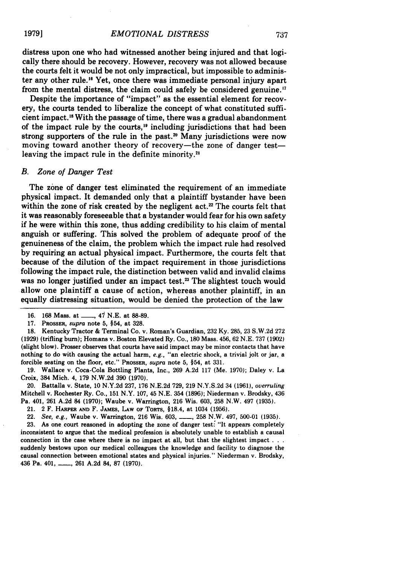distress upon one who had witnessed another being injured and that logically there should be recovery. However, recovery was not allowed because the courts felt it would be not only impractical, but impossible to administer any other rule."6 Yet, once there was immediate personal injury apart from the mental distress, the claim could safely be considered genuine.

Despite the importance of "impact" as the essential element for recovery, the courts tended to liberalize the concept of what constituted sufficient impact. 8 With the passage of time, there was a gradual abandonment of the impact rule by the courts,<sup>19</sup> including jurisdictions that had been strong supporters of the rule in the past.<sup>20</sup> Many jurisdictions were now moving toward another theory of recovery-the zone of danger testleaving the impact rule in the definite minority.<sup>21</sup>

#### *B. Zone of Danger Test*

The zone of danger test eliminated the requirement of an immediate physical impact. It demanded only that a plaintiff bystander have been within the zone of risk created by the negligent act.<sup>22</sup> The courts felt that it was reasonably foreseeable that a bystander would fear for his own safety if he were within this zone, thus adding credibility to his claim of mental anguish or suffering. This solved the problem of adequate proof of the genuineness of the claim, the problem which the impact rule had resolved **by** requiring an actual physical impact. Furthermore, the courts felt that because of the dilution of the impact requirement in those jurisdictions following the impact rule, the distinction between valid and invalid claims was no longer justified under an impact test.<sup>23</sup> The slightest touch would allow one plaintiff a cause of action, whereas another plaintiff, in an equally distressing situation, would be denied the protection of the law

**17.** PROSSER, *supra* note **5,** §54, at **328.**

**18.** Kentucky Tractor **&** Terminal Co. v. Roman's Guardian, **232 Ky. 285, 23 S.W.2d 272 (1929)** (trifling burn); Homans v. Boston Elevated Ry. Co., **180** Mass. 456, 62 **N.E. 737 (1902)** (slight **blow).** Prosser observes that courts have said impact may be minor contacts that have nothing to do with causing the actual harm, *e.g.,* "an electric shock, a trivial jolt or jar, a forcible seating on the floor, etc." **PROSSER,** *supra* note 5, §54, at 331.

**19.** Wallace v. Coca-Cola Bottling Plants, Inc., **269 A.2d 117** (Me. **1970);** Daley v. La Croix, 384 Mich. 4, **179 N.W.2d 390 (1970).**

20. Battalla v. State, **10 N.Y.2d 237, 176 N.E.2d 729, 219 N.Y.S.2d** 34 **(1961),** *overruling* Mitchell v. Rochester Ry. Co., **151** N.Y. **107,** 45 **N.E.** 354 **(1896);** Niederman v. Brodsky, 436 Pa. 401, **261 A.2d** 84 **(1970);** Waube v. Warrington, **216** Wis. **603, 258** N.W. 497 **(1935).**

21. 2 F. HARPER **AND** F. **JAMES, LAw OF** ToRTs, §18.4, at 1034 **(1956).**

22. *See, e.g.,* Waube v. Warrington, **216** Wis. **603, - , 258** N.W. 497, **500-01 (1935).**

23. As one court reasoned in adopting the zone of danger test: "It appears completely inconsistent to argue that the medical profession is absolutely unable to establish a causal connection in the case where there is no impact at all, but that the slightest impact **... suddenly bestows upon our** medical colleagues the knowledge and facility to diagnose the causal connection between emotional states and physical injuries." Niederman v. Brodsky, 436 Pa. 401, **-, 261 A.2d 84, 87 (1970).** 

**19791**

**<sup>16. 168</sup>** Mass. at **\_\_,** 47 **N.E.** at **88-89.**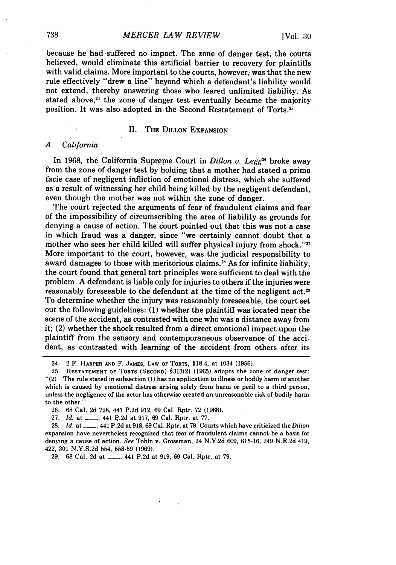because he had suffered no impact. The zone of danger test, the courts believed, would eliminate this artificial barrier to recovery for plaintiffs with valid claims. More important to the courts, however, was that the new rule effectively "drew a line" beyond which a defendant's liability would not extend, thereby answering those who feared unlimited liability. As stated above,<sup>24</sup> the zone of danger test eventually became the majority position. It was also adopted in the Second Restatement of Torts.<sup>25</sup>

## **H.** THE **DILLON EXPANSION**

## *A. California*

In 1968, the California Supreme Court in *Dillon v. Legg"-* broke away from the zone of danger test by holding that a mother had stated a prima facie case of negligent infliction of emotional distress, which she suffered as a result of witnessing her child being killed by the negligent defendant, even though the mother was not within the zone of danger.

The court rejected the arguments of fear of fraudulent claims and fear of the impossibility of circumscribing the area of liability as grounds for denying a cause of action. The court pointed out that this was not a case in which fraud was a danger, since "we certainly cannot doubt that a mother who sees her child killed will suffer physical injury from shock." More important to the court, however, was the judicial responsibility to award damages to those with meritorious claims.<sup>28</sup> As for infinite liability, the court found that general tort principles were. sufficient to deal with the problem. A defendant is liable only for injuries to others if the injuries were reasonably foreseeable to the defendant at the time of the negligent act.<sup>26</sup> To determine whether the injury was reasonably foreseeable, the court set out the following guidelines: **(1)** whether the plaintiff was located near the scene of the accident, as contrasted with one who was a distance away from it; (2) whether the shock resulted from a direct emotional impact upon the plaintiff from the sensory and contemporaneous observance of the accident, as contrasted with learning of the accident from others after its

<sup>24. 2</sup> F. HARPER **AND** F. **JAMES,** LAW OF TORTS, §18.4, at 1034 (1956).

<sup>25.</sup> RESTATEMENT **OF** TORTS (SECOND) §313(2) (1965) adopts the zone of danger test: "(2) The rule stated in subsection (1) has no application to illness or bodily harm of another which is caused by emotional distress arising solely from harm or. peril to a third person, unless the negligence of the actor has otherwise created an unreasonable risk of bodily harm to the other."

**<sup>26.</sup>** 68 Cal. 2d 728, 441 P.2d 912, 69 Cal. Rptr. 72 (1968).

<sup>27.</sup> *Id.* at \_\_, 441 P.2d at 917, 69 Cal. Rptr. at 77.

<sup>28.</sup> *Id.* at \_\_, 441 P.2d at 918, 69 Cal. Rptr. at 78. Courts which have criticized the *Dillon* expansion have nevertheless recognized that fear of fraudulent claims cannot be a basis for denying a cause of action. *See* Tobin v. Grossman, 24 N.Y.2d 609, 615-16, 249 N.E.2d 419, 422, 301 N.Y.S.2d 554, 558-59 (1969).

<sup>29. 68</sup> Cal. 2d at **\_\_,** 441 P.2d at 919, 69 Cal. Rptr. at 79.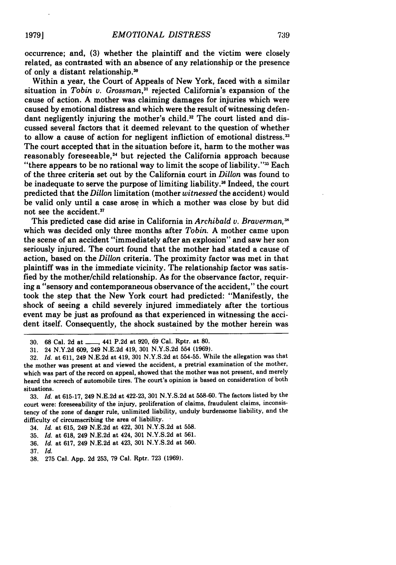occurrence; and, **(3)** whether the plaintiff and the victim were closely related, as contrasted with an absence of any relationship or the presence of only a distant relationship.3

Within a year, the Court of Appeals of New York, faced with a similar situation in *Tobin v. Grossman*,<sup>31</sup> rejected California's expansion of the cause of action. A mother was claiming damages for injuries which were caused by emotional distress and which were the result of witnessing defendant negligently injuring the mother's child.<sup>32</sup> The court listed and discussed several factors that it deemed relevant to the question of whether to allow a cause of action for negligent infliction of emotional distress.<sup>33</sup> The court accepted that in the situation before it, harm to the mother was reasonably foreseeable,<sup>34</sup> but rejected the California approach because "there appears to be no rational way to limit the scope of liability." $35$  Each of the three criteria set out by the California court in *Dillon* was found to be inadequate to serve the purpose of limiting liability.36 Indeed, the court predicted that the *Dillon* limitation (mother *witnessed* the accident) would be valid only until a case arose in which a mother was close by but did not see the accident.<sup>37</sup>

This predicted case did arise in California in *Archibald v. Braverman, "* which was decided only three months after *Tobin.* A mother came upon the scene of an accident "immediately after an explosion" and saw her son seriously injured. The court found that the mother had stated a cause of action, based on the *Dillon* criteria. The proximity factor was met in that plaintiff was in the immediate vicinity. The relationship factor was satisfied by the mother/child relationship. As for the observance factor, requiring a "sensory and contemporaneous observance of the accident," the court took the step that the New York court had predicted: "Manifestly, the shock of seeing a child severely injured immediately after the tortious event may be just as profound as that experienced in witnessing the accident itself. Consequently, the shock sustained by the mother herein was

**19791**

<sup>30.</sup> **68 Cal. 2d at \_\_\_, 441 P.2d at 920, 69 Cal. Rptr. at 80.** 

<sup>31. 24</sup> N.Y.2d 609, 249 N.E.2d 419, 301 N.Y.S.2d 554 (1969).

<sup>32.</sup> *Id.* at 611, 249 N.E.2d at 419, 301 N.Y.S.2d at 554-55. While the allegation was that the mother was present at and viewed the accident, a pretrial examination of the mother, which was part of the record on appeal, showed that the mother was not present, and merely heard the screech of automobile tires. The court's opinion is based on consideration of both situations.

<sup>33.</sup> *Id.* at 615-17, 249 N.E.2d at 422-23, 301 N.Y.S.2d at 558-60. The factors listed by the court were: foreseeability of the injury, proliferation of claims, fraudulent claims, inconsistency of the zone of danger rule, unlimited liability, unduly burdensome liability, and the difficulty of circumscribing the area of liability.

<sup>34.</sup> *Id.* at 615, 249 N.E.2d at 422, 301 N.Y.S.2d at 558.

<sup>35.</sup> *Id.* at 618, 249 N.E.2d at 424, 301 N.Y.S.2d at 561.

<sup>36.</sup> *Id.* at 617, 249 N.E.2d at 423, 301 N.Y.S.2d at 560.

<sup>37.</sup> *Id.*

<sup>38. 275</sup> Cal. App. 2d 253, 79 Cal. Rptr. 723 (1969).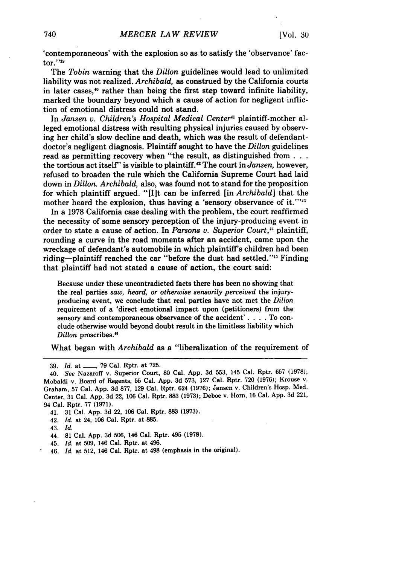'contemporaneous' with the explosion so as to satisfy the 'observance' factor." $39$ 

The *Tobin* warning that the *Dillon* guidelines would lead to unlimited liability was not realized. *Archibald,* as construed by the California courts in later cases,<sup>40</sup> rather than being the first step toward infinite liability, marked the boundary beyond which a cause of action for negligent infliction of emotional distress could not stand.

In *Jansen v. Children's Hospital Medical Center"* plaintiff-mother alleged emotional distress with resulting physical injuries caused by observing her child's slow decline and death, which was the result of defendantdoctor's negligent diagnosis. Plaintiff sought to have the *Dillon* guidelines read as permitting recovery when "the result, as distinguished **from...** the tortious act itself" is visible to plaintiff.'" The court in *Jansen,* however, refused to broaden the rule which the California Supreme Court had laid down in *Dillon. Archibald,* also, was found not to stand for the proposition for which plaintiff argued. "[It can be inferred [in *Archibald]* that the mother heard the explosion, thus having a 'sensory observance of it."<sup>14</sup>

In a 1978 California case dealing with the problem, the court reaffirmed the necessity of some sensory perception of the injury-producing event in order to state a cause of action. In *Parsons v. Superior Court,"* plaintiff, rounding a curve in the road moments after an accident, came upon the wreckage of defendant's automobile in which plaintiffs children had been riding-plaintiff reached the car "before the dust had settled."<sup>15</sup> Finding that plaintiff had not stated a cause of action, the court said:

Because under these uncontradicted facts there has been no showing that the real parties *saw, heard, or otherwise sensorily perceived* the injuryproducing event, we conclude that real parties have not met the *Dillon* requirement of a 'direct emotional impact upon (petitioners) from the sensory and contemporaneous observance of the accident'. **. .** . To conclude otherwise would beyond doubt result in the limitless liability which *Dillon* proscribes."

What began with *Archibald* as a "liberalization of the requirement of

- 41. 31 Cal. App. 3d 22, 106 Cal. Rptr. 883 **(1973).**
- 42. *Id.* at 24, 106 Cal. Rptr. at 885.
- 43. *Id.*
- 44. 81 Cal. App. 3d 506, 146 Cal. Rptr. 495 **(1978).**
- 45. *Id.* at 509, 146 Cal. Rptr. at 496.
- 46. *Id.* at 512, 146 Cal. Rptr. at 498 (emphasis in the original).

<sup>39.</sup> *Id.* at **- ,** 79 Cal. Rptr. at 725.

<sup>40.</sup> *See* Nazaroff v. Superior Court, 80 Cal. App. 3d 553, 145 Cal. Rptr. 657 (1978); Mobaldi v. Board of Regents, 55 Cal. App. 3d 573, 127 Cal. Rptr. 720 (1976); Krouse v. Graham, 57 Cal. App. 3d 877, 129 Cal. Rptr. 624 (1976); Jansen v. Children's Hosp. Med. Center, 31 Cal. App. 3d 22, 106 Cal. Rptr. **883** (1973); Deboe v. Horn, 16 Cal. App. 3d 221, 94 Cal. Rptr. 77 **(1971).**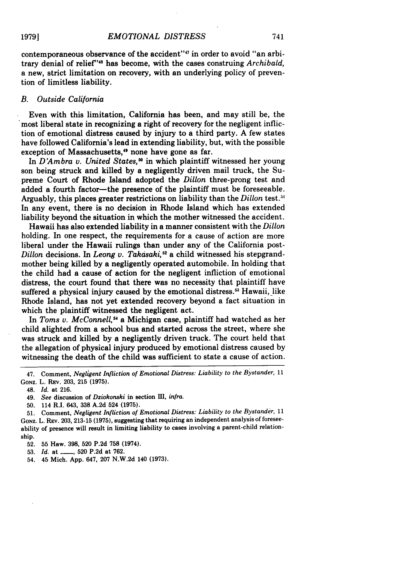contemporaneous observance of the accident"<sup>47</sup> in order to avoid "an arbitrary denial of relief"'8 has become, with the cases construing *Archibald,* a new, strict limitation on recovery, with an underlying policy of prevention of limitless liability.

### *B. Outside California*

Even with this limitation, California has been, and may still be, the most liberal state in recognizing a right of recovery for the negligent infliction of emotional distress caused by injury to a third party. A few states have followed California's lead in extending liability, but, with the possible exception of Massachusetts,<sup>49</sup> none have gone as far.

In *D'Ambra v. United States*,<sup>50</sup> in which plaintiff witnessed her young son being struck and killed **by** a negligently driven mail truck, the Supreme Court of Rhode Island adopted the *Dillon* three-prong test and added a fourth factor-the presence of the plaintiff must be foreseeable. Arguably, this places greater restrictions on liability than the *Dillon* test."' In any event, there is no decision in Rhode Island which has extended liability beyond the situation in which the mother witnessed the accident.

Hawaii has also extended liability in a manner consistent with the *Dillon* holding. In one respect, the requirements for a cause of action are more liberal under the Hawaii rulings than under any of the California post-*Dillon* decisions. In *Leong v. Takasaki*,<sup>52</sup> a child witnessed his stepgrandmother being killed **by** a negligently operated automobile. In holding that the child had a cause of action for the negligent infliction of emotional distress, the court found that there was no necessity that plaintiff have suffered a physical injury caused by the emotional distress.<sup>53</sup> Hawaii, like Rhode Island, has not yet extended recovery beyond a fact situation in which the plaintiff witnessed the negligent act.

In *Toms v. McConnell*,<sup>54</sup> a Michigan case, plaintiff had watched as her child alighted from a school bus and started across the street, where she was struck and killed by a negligently driven truck. The court held that the allegation of physical injury produced by emotional distress caused by witnessing the death of the child was sufficient to state a cause of action.

50. 114 R.I. 643, 338 A.2d 524 (1975).

52. 55 Haw. 398, 520 P.2d **758** (1974).

53. *Id.* at <u>162</u>, 520 P.2d at 762.

54. 45 Mich. App. 647, 207 N.W.2d 140 (1973).

<sup>47.</sup> Comment, *Negligent Infliction of Emotional Distress: Liability to the Bystander,* 11 GONZ. L. REV. 203, 215 **(1975).**

<sup>48.</sup> Id. at 216.

<sup>49.</sup> *See* discussion of *Dziokonski* in section **III,** *infra.*

<sup>51.</sup> Comment, *Negligent Infliction of Emotional Distress: Liability to the Bystander,* 11 Gonz. L. Rev. 203, 213-15 (1975), suggesting that requiring an independent analysis of foreseeability of presence will result in limiting liability to cases involving a parent-child relationship.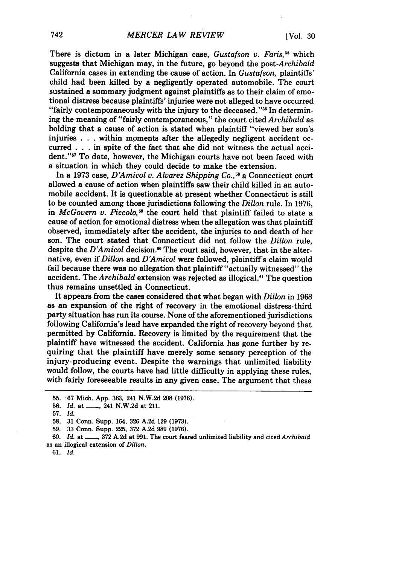There is dictum in a later Michigan case, *Gustafson v. Faris,55* which suggests that Michigan may, in the future, go beyond the *post-Archibald* California cases in extending the cause of action. In *Gustafson,* plaintiffs' child had been killed by a negligently operated automobile. The court sustained a summary judgment against plaintiffs as to their claim of emotional distress because plaintiffs' injuries were not alleged to have occurred "fairly contemporaneously with the injury to the deceased."<sup>56</sup> In determining the meaning of "fairly contemporaneous," the court cited *Archibald* as holding that a cause of action is stated when plaintiff "viewed her son's injuries . . . within moments after the allegedly negligent accident occurred . . . in spite of the fact that she did not witness the actual accident."<sup>57</sup> To date, however, the Michigan courts have not been faced with a situation in which they could decide to make the extension.

In a 1973 case, *D'Amicol v. Alvarez Shipping Co., <sup>58</sup>*a Connecticut court allowed a cause of action when plaintiffs saw their child killed in an automobile accident. It is questionable at present whether Connecticut is still to be counted among those jurisdictions following the *Dillon* rule. In 1976, in *McGovern v. Piccolo,19* the court held that plaintiff failed to state a cause of action for emotional distress when the allegation was that plaintiff observed, immediately after the accident, the injuries to and death of her son. The court stated that Connecticut did not follow the *Dillon* rule, despite the *D'Amicol* decision." The court said, however, that in the alternative, even if *Dillon* and *D'Amicol* were followed, plaintiffs claim would fail because there was no allegation that plaintiff "actually witnessed" the accident. The *Archibald* extension was rejected as illogical.<sup>61</sup> The question thus remains unsettled in Connecticut.

It appears from the cases considered that what began with *Dillon* in 1968 as an expansion of the right of recovery in the emotional distress-third party situation has run its course. None of the aforementioned jurisdictions following California's lead have expanded the right of recovery beyond that permitted by California. Recovery is limited by the requirement that the plaintiff have witnessed the accident. California has gone further by requiring that the plaintiff have merely some sensory perception of the injury-producing event. Despite the warnings that unlimited liability would follow, the courts have had little difficulty in applying these rules, with fairly foreseeable results in any given case. The argument that these

61. *Id.*

<sup>55. 67</sup> Mich. App. 363, 241 N.W.2d 208 (1976).

<sup>56.</sup> *Id.* at **- ,** 241 N.W.2d at 211.

<sup>57.</sup> *Id.*

<sup>58. 31</sup> Conn. Supp. 164, 326 A.2d 129 (1973).

<sup>59. 33</sup> Conn. Supp. 225, 372 A.2d **989** (1976).

<sup>60.</sup> *Id.* at **- ,** 372 A.2d at 991. The court feared unlimited liability and cited *Archibald* as an illogical extension of *Dillon.*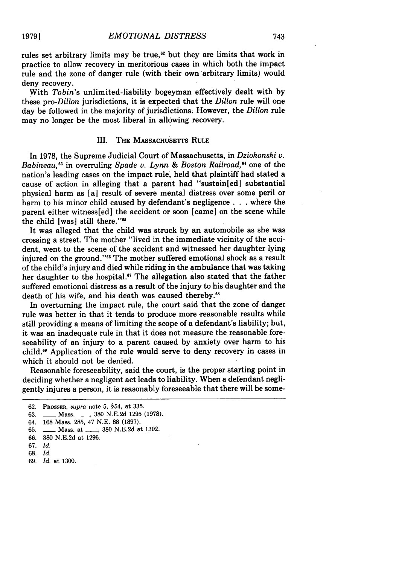rules set arbitrary limits may be true,<sup>62</sup> but they are limits that work in practice to allow recovery in meritorious cases in which both the impact rule and the zone of danger rule (with their own arbitrary limits) would deny recovery.

With *Tobin's* unlimited-liability bogeyman effectively dealt with by these *pro-Dillon* jurisdictions, it is expected that the *Dillon* rule will one day be followed in the majority of jurisdictions. However, the *Dillon* rule may no longer be the most liberal in allowing recovery.

#### III. THE MASSACHUSETTS RULE

In **1978,** the Supreme Judicial Court of Massachusetts, in *Dziokonski v. Babineau,63* in overruling *Spade v. Lynn & Boston Railroad,64* one of the nation's leading cases on the impact rule, held that plaintiff had stated a cause of action in alleging that a parent had "sustain[ed] substantial physical harm as [a] result of severe mental distress over some peril or harm to his minor child caused **by** defendant's negligence **. . .** where the parent either witness[ed] the accident or soon [came] on the scene while the child [was] still there."65

It was alleged that the child was struck **by** an automobile as she was crossing a street. The mother "lived in the immediate vicinity of the accident, went to the scene of the accident and witnessed her daughter lying injured on the ground."<sup>66</sup> The mother suffered emotional shock as a result of the child's injury and died while riding in the ambulance that was taking her daughter to the hospital.<sup>67</sup> The allegation also stated that the father suffered emotional distress as a result of the injury to his daughter and the death of his wife, and his death was caused thereby.<sup>68</sup>

In overturning the impact rule, the court said that the zone of danger rule was better in that it tends to produce more reasonable results while still providing a means of limiting the scope of a defendant's liability; but, it was an inadequate rule in that it does not measure the reasonable foreseeability of an injury to a parent caused by anxiety over harm to his child."1 Application of the rule would serve to deny recovery in cases in which it should not be denied.

Reasonable foreseeability, said the court, is the proper starting point in deciding whether a negligent act leads to liability. When a defendant negligently injures a person, it is reasonably foreseeable that there will be some-

<sup>62.</sup> PROSSER, supra note **5,** §54, at 335.

**<sup>63.</sup>** \_\_ Mass. **-, 380 N.E.2d 1295 (1978).**

<sup>64.</sup> **168** Mass. **285,** 47 **N.E. 88 (1897).**

**<sup>65.</sup>** \_\_ Mass. at **- , 380 N.E.2d** at **1302.**

**<sup>66. 380</sup> N.E.2d** at **1296.**

**<sup>67.</sup>** *Id.*

**<sup>68.</sup>** *Id.*

<sup>69.</sup> *Id.* at 1300.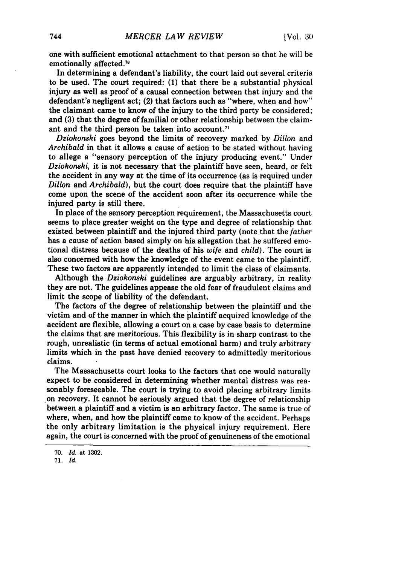one with sufficient emotional attachment to that person so that he will be emotionally affected.<sup>70</sup>

In determining a defendant's liability, the court laid out several criteria to be used. The court required: **(1)** that there be a substantial physical injury as well as proof of a causal connection between that injury and the defendant's negligent act; (2) that factors such as "where, when and how" the claimant came to know of the injury to the third party be considered; and **(3)** that the degree of familial or other relationship between the claimant and the third person be taken into account.<sup>71</sup>

*Dziohonski* goes beyond the limits of recovery marked by *Dillon* and *Archibald* in that it allows a cause of action to be stated without having to allege a "sensory perception of the injury producing event." Under *Dziokonski,* it is not necessary that the plaintiff have seen, heard, or felt the accident in any way at the time of its occurrence (as is required under *Dillon* and *Archibald),* but the court does require that the plaintiff have come upon the scene of the accident soon after its occurrence while the injured party is still there.

In place of the sensory perception requirement, the Massachusetts court seems to place greater weight on the type and degree of relationship that existed between plaintiff and the injured third party (note that the *father* has a cause of action based simply on his allegation that he suffered emotional distress because of the deaths of his *wife* and *child).* The court is also concerned with how the knowledge of the event came to the plaintiff. These two factors are apparently intended to limit the class of claimants.

Although the *Dziohonski* guidelines are arguably arbitrary, in reality they are not. The guidelines appease the old fear of fraudulent claims and limit the scope of liability of the defendant.

The factors of the degree of relationship between the plaintiff and the victim and of the manner in which the plaintiff acquired knowledge of the accident are flexible, allowing a court on a case by case basis to determine the claims that are meritorious. This flexibility is in sharp contrast to the rough, unrealistic (in terms of actual emotional harm) and truly arbitrary limits which in the past have denied recovery to admittedly meritorious claims.

The Massachusetts court looks to the factors that one would naturally expect to be considered in determining whether mental distress was reasonably foreseeable. The court is trying to avoid placing arbitrary limits on recovery. It cannot be seriously argued that the degree of relationship between a plaintiff and a victim is an arbitrary factor. The same is true of where, when, and how the plaintiff came to know of the accident. Perhaps the only arbitrary limitation is the physical injury requirement. Here again, the court is concerned with the proof of genuineness of the emotional

<sup>70.</sup> *Id.* at **1302.**

<sup>71.</sup> *Id.*